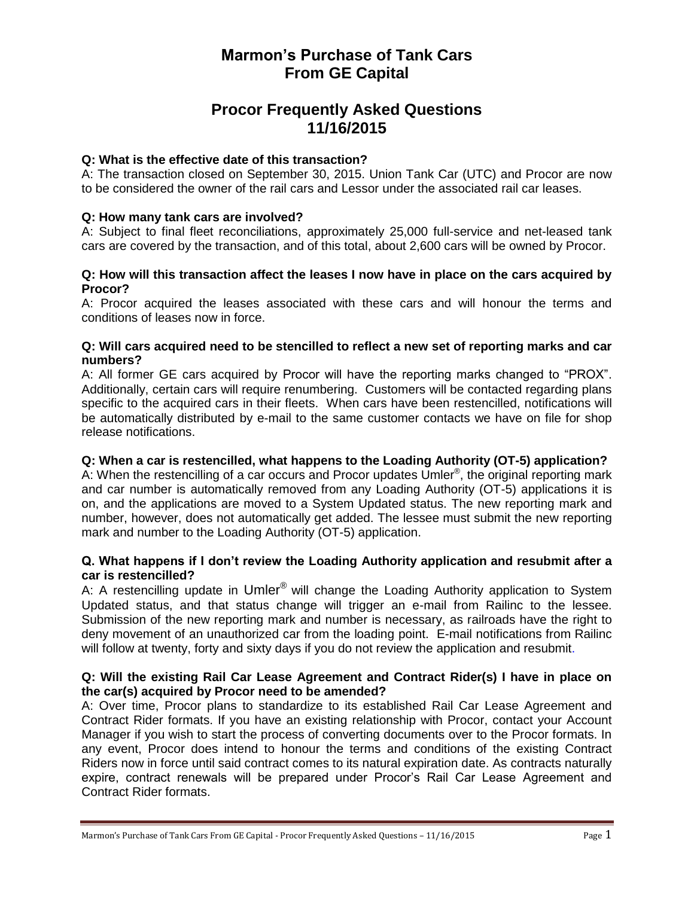# **Marmon's Purchase of Tank Cars From GE Capital**

## **Procor Frequently Asked Questions 11/16/2015**

## **Q: What is the effective date of this transaction?**

A: The transaction closed on September 30, 2015. Union Tank Car (UTC) and Procor are now to be considered the owner of the rail cars and Lessor under the associated rail car leases.

#### **Q: How many tank cars are involved?**

A: Subject to final fleet reconciliations, approximately 25,000 full-service and net-leased tank cars are covered by the transaction, and of this total, about 2,600 cars will be owned by Procor.

#### **Q: How will this transaction affect the leases I now have in place on the cars acquired by Procor?**

A: Procor acquired the leases associated with these cars and will honour the terms and conditions of leases now in force.

#### **Q: Will cars acquired need to be stencilled to reflect a new set of reporting marks and car numbers?**

A: All former GE cars acquired by Procor will have the reporting marks changed to "PROX". Additionally, certain cars will require renumbering. Customers will be contacted regarding plans specific to the acquired cars in their fleets. When cars have been restencilled, notifications will be automatically distributed by e-mail to the same customer contacts we have on file for shop release notifications.

## **Q: When a car is restencilled, what happens to the Loading Authority (OT-5) application?**

A: When the restencilling of a car occurs and Procor updates Umler<sup>®</sup>, the original reporting mark and car number is automatically removed from any Loading Authority (OT-5) applications it is on, and the applications are moved to a System Updated status. The new reporting mark and number, however, does not automatically get added. The lessee must submit the new reporting mark and number to the Loading Authority (OT-5) application.

## **Q. What happens if I don't review the Loading Authority application and resubmit after a car is restencilled?**

A: A restencilling update in Umler<sup>®</sup> will change the Loading Authority application to System Updated status, and that status change will trigger an e-mail from Railinc to the lessee. Submission of the new reporting mark and number is necessary, as railroads have the right to deny movement of an unauthorized car from the loading point. E-mail notifications from Railinc will follow at twenty, forty and sixty days if you do not review the application and resubmit.

#### **Q: Will the existing Rail Car Lease Agreement and Contract Rider(s) I have in place on the car(s) acquired by Procor need to be amended?**

A: Over time, Procor plans to standardize to its established Rail Car Lease Agreement and Contract Rider formats. If you have an existing relationship with Procor, contact your Account Manager if you wish to start the process of converting documents over to the Procor formats. In any event, Procor does intend to honour the terms and conditions of the existing Contract Riders now in force until said contract comes to its natural expiration date. As contracts naturally expire, contract renewals will be prepared under Procor's Rail Car Lease Agreement and Contract Rider formats.

Marmon's Purchase of Tank Cars From GE Capital - Procor Frequently Asked Questions - 11/16/2015 Page 1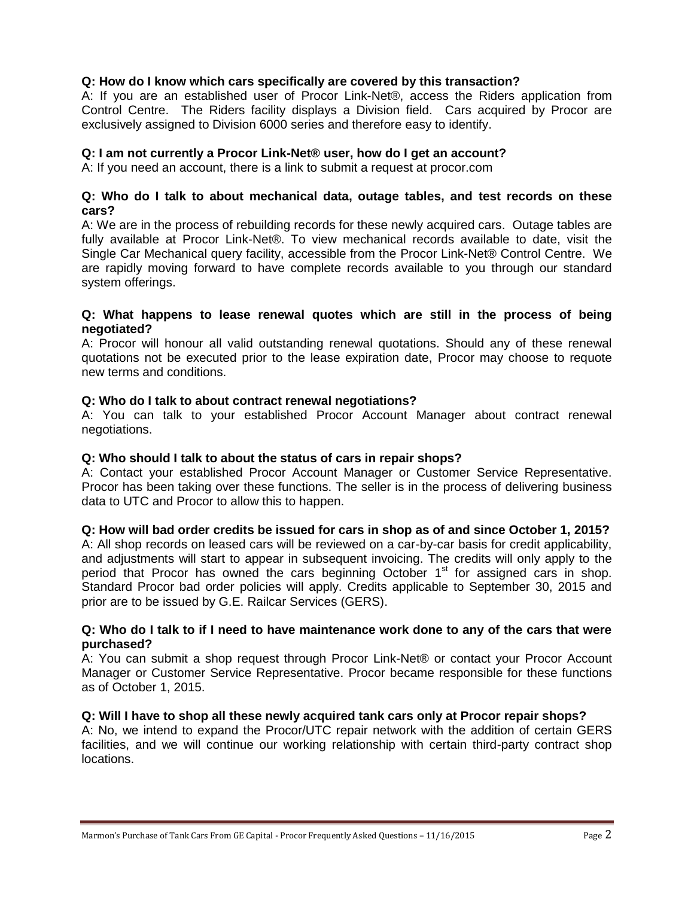## **Q: How do I know which cars specifically are covered by this transaction?**

A: If you are an established user of Procor Link-Net®, access the Riders application from Control Centre. The Riders facility displays a Division field. Cars acquired by Procor are exclusively assigned to Division 6000 series and therefore easy to identify.

#### **Q: I am not currently a Procor Link-Net® user, how do I get an account?**

A: If you need an account, there is a link to submit a request at procor.com

#### **Q: Who do I talk to about mechanical data, outage tables, and test records on these cars?**

A: We are in the process of rebuilding records for these newly acquired cars. Outage tables are fully available at Procor Link-Net®. To view mechanical records available to date, visit the Single Car Mechanical query facility, accessible from the Procor Link-Net® Control Centre. We are rapidly moving forward to have complete records available to you through our standard system offerings.

#### **Q: What happens to lease renewal quotes which are still in the process of being negotiated?**

A: Procor will honour all valid outstanding renewal quotations. Should any of these renewal quotations not be executed prior to the lease expiration date, Procor may choose to requote new terms and conditions.

#### **Q: Who do I talk to about contract renewal negotiations?**

A: You can talk to your established Procor Account Manager about contract renewal negotiations.

#### **Q: Who should I talk to about the status of cars in repair shops?**

A: Contact your established Procor Account Manager or Customer Service Representative. Procor has been taking over these functions. The seller is in the process of delivering business data to UTC and Procor to allow this to happen.

#### **Q: How will bad order credits be issued for cars in shop as of and since October 1, 2015?**

A: All shop records on leased cars will be reviewed on a car-by-car basis for credit applicability, and adjustments will start to appear in subsequent invoicing. The credits will only apply to the period that Procor has owned the cars beginning October 1<sup>st</sup> for assigned cars in shop. Standard Procor bad order policies will apply. Credits applicable to September 30, 2015 and prior are to be issued by G.E. Railcar Services (GERS).

#### **Q: Who do I talk to if I need to have maintenance work done to any of the cars that were purchased?**

A: You can submit a shop request through Procor Link-Net® or contact your Procor Account Manager or Customer Service Representative. Procor became responsible for these functions as of October 1, 2015.

#### **Q: Will I have to shop all these newly acquired tank cars only at Procor repair shops?**

A: No, we intend to expand the Procor/UTC repair network with the addition of certain GERS facilities, and we will continue our working relationship with certain third-party contract shop locations.